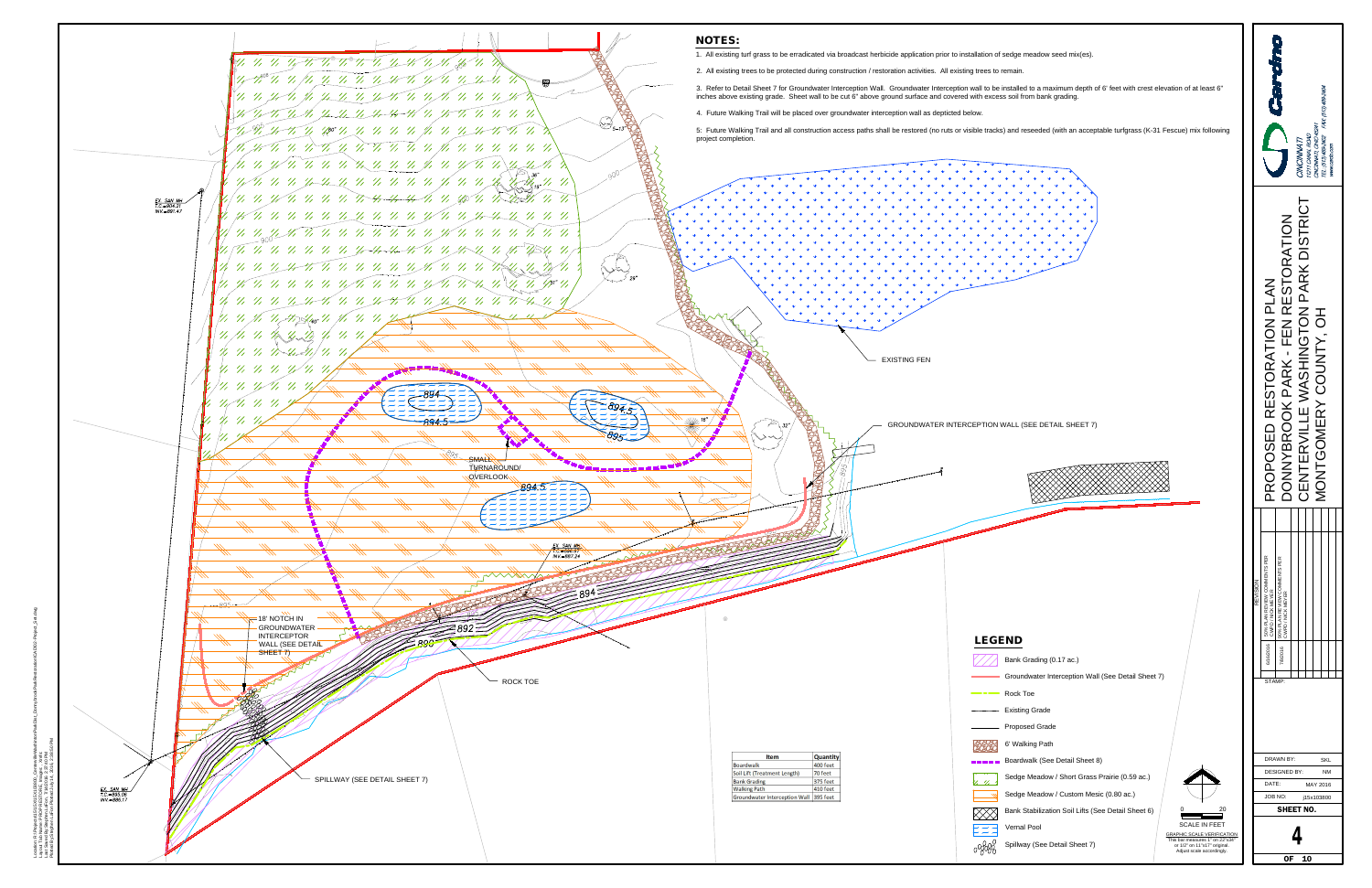

Location: R:\P Layout Tab Name: PROP RESTORE, Images: , Xrefs: R:\Projects\15\15X\15X103800\_CentervilleWashintonParkDist\_DonnybrookParkRestoration\CAD\02-Project\_Set.dwg Last Saved By:Stephen.LaFon, 7/14/2016 2:37:40 PM

- 
- 
- 
- 
- 
- 
- 
- 
- 
- 
- 
- 



|                 |                                                   | CALCINO                                           | <b>CINCINNATI</b>                       | 1211 CANAL ROAD | <b>INCINNATI</b> , OHIO 45241 | EL: (513) 489-2402 FAX: (513) 489-2404 | www.cardo.com |  |
|-----------------|---------------------------------------------------|---------------------------------------------------|-----------------------------------------|-----------------|-------------------------------|----------------------------------------|---------------|--|
|                 | PROPOSED RESTORATION PLAN                         | DONNYBROOK PARK - FEN RESTORATION                 | DISTRICT<br>CENTERVILLE WASHINGTON PARK |                 | MONTGOMERY COUNTY, OH         |                                        |               |  |
|                 |                                                   |                                                   |                                         |                 |                               |                                        |               |  |
| <b>KOISIVER</b> | 50% PLAN REVIEW COMMENTS PER<br>CWPD / NICK MEYER | 90% PLAN REVIEW COMMENTS PER<br>CWPD / NICK MEYER |                                         |                 |                               |                                        |               |  |
|                 | 6/16/2016<br>STAMP:                               | 7/8/2016                                          |                                         |                 |                               |                                        |               |  |
|                 |                                                   |                                                   |                                         |                 |                               |                                        |               |  |
|                 |                                                   | <b>DRAWN BY:</b><br><b>DESIGNED BY:</b>           |                                         |                 |                               | SKL<br>ΝM                              |               |  |
|                 | DATE:                                             | JOB NO:                                           |                                         |                 | MAY 2016<br>j15x103800        |                                        |               |  |